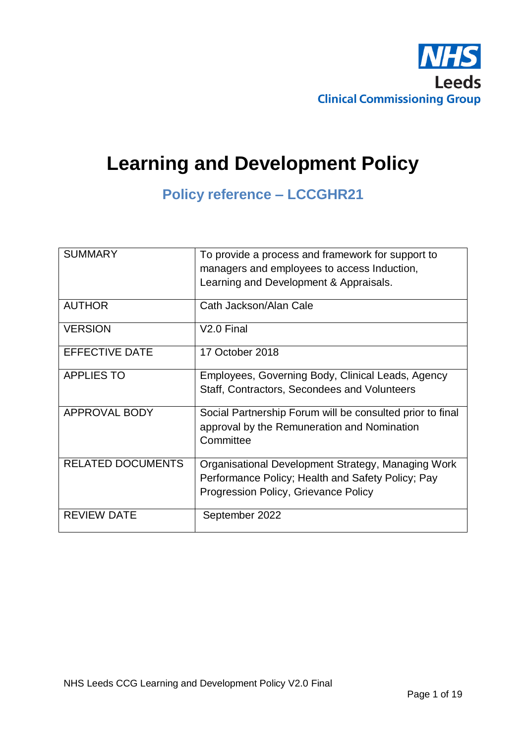

# **Learning and Development Policy**

**Policy reference – LCCGHR21**

| <b>SUMMARY</b>           | To provide a process and framework for support to<br>managers and employees to access Induction,<br>Learning and Development & Appraisals.      |
|--------------------------|-------------------------------------------------------------------------------------------------------------------------------------------------|
| <b>AUTHOR</b>            | Cath Jackson/Alan Cale                                                                                                                          |
| <b>VERSION</b>           | V <sub>2.0</sub> Final                                                                                                                          |
| <b>EFFECTIVE DATE</b>    | 17 October 2018                                                                                                                                 |
| <b>APPLIES TO</b>        | Employees, Governing Body, Clinical Leads, Agency<br>Staff, Contractors, Secondees and Volunteers                                               |
| APPROVAL BODY            | Social Partnership Forum will be consulted prior to final<br>approval by the Remuneration and Nomination<br>Committee                           |
| <b>RELATED DOCUMENTS</b> | Organisational Development Strategy, Managing Work<br>Performance Policy; Health and Safety Policy; Pay<br>Progression Policy, Grievance Policy |
| <b>REVIEW DATE</b>       | September 2022                                                                                                                                  |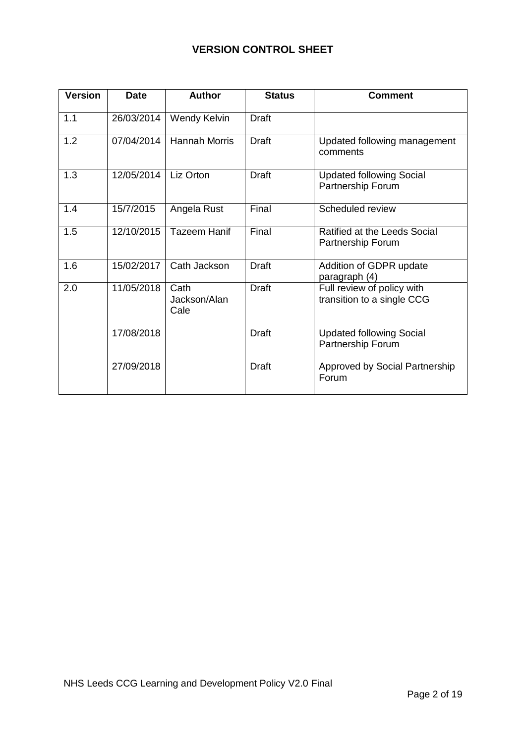# **VERSION CONTROL SHEET**

| <b>Version</b> | <b>Date</b> | <b>Author</b>                | <b>Status</b> | <b>Comment</b>                                           |
|----------------|-------------|------------------------------|---------------|----------------------------------------------------------|
| 1.1            | 26/03/2014  | Wendy Kelvin                 | <b>Draft</b>  |                                                          |
| 1.2            | 07/04/2014  | <b>Hannah Morris</b>         | <b>Draft</b>  | Updated following management<br>comments                 |
| 1.3            | 12/05/2014  | Liz Orton                    | <b>Draft</b>  | <b>Updated following Social</b><br>Partnership Forum     |
| 1.4            | 15/7/2015   | Angela Rust                  | Final         | Scheduled review                                         |
| 1.5            | 12/10/2015  | <b>Tazeem Hanif</b>          | Final         | Ratified at the Leeds Social<br>Partnership Forum        |
| 1.6            | 15/02/2017  | Cath Jackson                 | <b>Draft</b>  | Addition of GDPR update<br>paragraph (4)                 |
| 2.0            | 11/05/2018  | Cath<br>Jackson/Alan<br>Cale | <b>Draft</b>  | Full review of policy with<br>transition to a single CCG |
|                | 17/08/2018  |                              | <b>Draft</b>  | <b>Updated following Social</b><br>Partnership Forum     |
|                | 27/09/2018  |                              | <b>Draft</b>  | Approved by Social Partnership<br>Forum                  |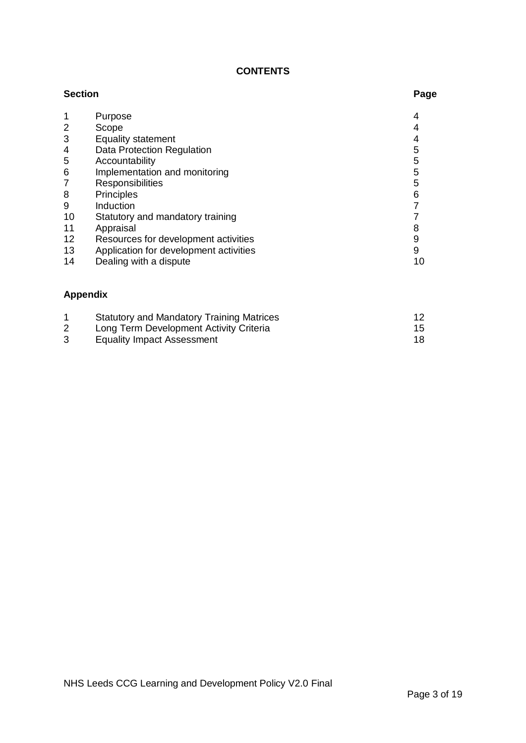## **CONTENTS**

| <b>Section</b> |                                                  |                |
|----------------|--------------------------------------------------|----------------|
|                | Purpose                                          | 4              |
| 2              | Scope                                            | 4              |
| 3              | <b>Equality statement</b>                        | 4              |
| 4              | Data Protection Regulation                       | 5              |
| 5              | Accountability                                   | 5              |
| 6              | Implementation and monitoring                    | 5              |
| 7              | Responsibilities                                 | 5              |
| 8              | <b>Principles</b>                                | 6              |
| 9              | Induction                                        | $\overline{7}$ |
| 10             | Statutory and mandatory training                 | $\overline{7}$ |
| 11             | Appraisal                                        | 8              |
| 12             | Resources for development activities             | 9              |
| 13             | Application for development activities           | 9              |
| 14             | Dealing with a dispute                           | 10             |
|                | <b>Appendix</b>                                  |                |
| 1              | <b>Statutory and Mandatory Training Matrices</b> | 12             |

2 Long Term Development Activity Criteria 15 3 Equality Impact Assessment 18 and 18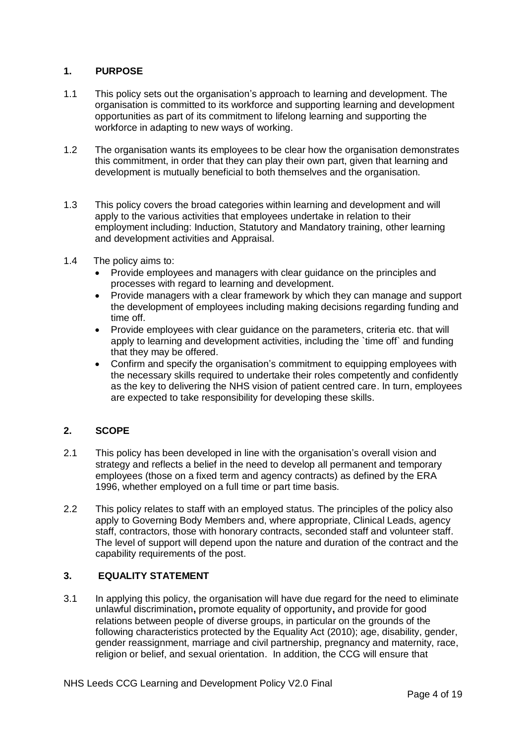## **1. PURPOSE**

- 1.1 This policy sets out the organisation's approach to learning and development. The organisation is committed to its workforce and supporting learning and development opportunities as part of its commitment to lifelong learning and supporting the workforce in adapting to new ways of working.
- 1.2 The organisation wants its employees to be clear how the organisation demonstrates this commitment, in order that they can play their own part, given that learning and development is mutually beneficial to both themselves and the organisation.
- 1.3 This policy covers the broad categories within learning and development and will apply to the various activities that employees undertake in relation to their employment including: Induction, Statutory and Mandatory training, other learning and development activities and Appraisal.
- 1.4 The policy aims to:
	- Provide employees and managers with clear guidance on the principles and processes with regard to learning and development.
	- Provide managers with a clear framework by which they can manage and support the development of employees including making decisions regarding funding and time off.
	- Provide employees with clear guidance on the parameters, criteria etc. that will apply to learning and development activities, including the `time off` and funding that they may be offered.
	- Confirm and specify the organisation's commitment to equipping employees with the necessary skills required to undertake their roles competently and confidently as the key to delivering the NHS vision of patient centred care. In turn, employees are expected to take responsibility for developing these skills.

## **2. SCOPE**

- 2.1 This policy has been developed in line with the organisation's overall vision and strategy and reflects a belief in the need to develop all permanent and temporary employees (those on a fixed term and agency contracts) as defined by the ERA 1996, whether employed on a full time or part time basis.
- 2.2 This policy relates to staff with an employed status. The principles of the policy also apply to Governing Body Members and, where appropriate, Clinical Leads, agency staff, contractors, those with honorary contracts, seconded staff and volunteer staff. The level of support will depend upon the nature and duration of the contract and the capability requirements of the post.

## **3. EQUALITY STATEMENT**

3.1 In applying this policy, the organisation will have due regard for the need to eliminate unlawful discrimination**,** promote equality of opportunity**,** and provide for good relations between people of diverse groups, in particular on the grounds of the following characteristics protected by the Equality Act (2010); age, disability, gender, gender reassignment, marriage and civil partnership, pregnancy and maternity, race, religion or belief, and sexual orientation. In addition, the CCG will ensure that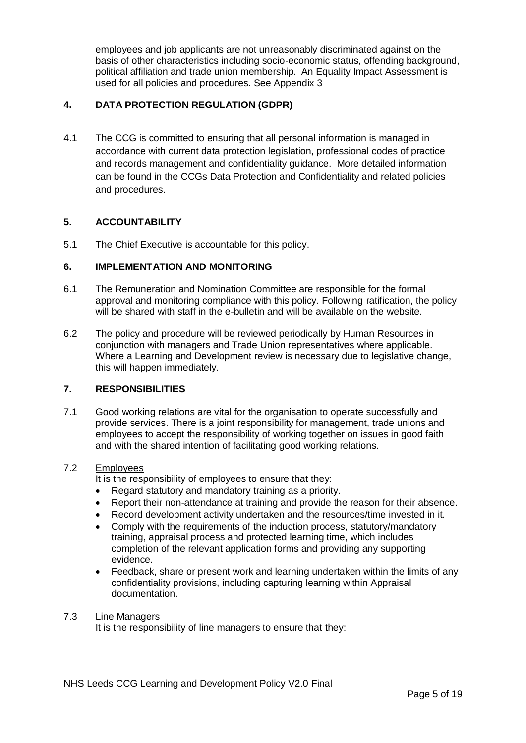employees and job applicants are not unreasonably discriminated against on the basis of other characteristics including socio-economic status, offending background, political affiliation and trade union membership. An Equality Impact Assessment is used for all policies and procedures. See Appendix 3

## **4. DATA PROTECTION REGULATION (GDPR)**

4.1 The CCG is committed to ensuring that all personal information is managed in accordance with current data protection legislation, professional codes of practice and records management and confidentiality guidance. More detailed information can be found in the CCGs Data Protection and Confidentiality and related policies and procedures.

## **5. ACCOUNTABILITY**

5.1 The Chief Executive is accountable for this policy.

#### **6. IMPLEMENTATION AND MONITORING**

- 6.1 The Remuneration and Nomination Committee are responsible for the formal approval and monitoring compliance with this policy. Following ratification, the policy will be shared with staff in the e-bulletin and will be available on the website.
- 6.2 The policy and procedure will be reviewed periodically by Human Resources in conjunction with managers and Trade Union representatives where applicable. Where a Learning and Development review is necessary due to legislative change, this will happen immediately.

#### **7. RESPONSIBILITIES**

7.1 Good working relations are vital for the organisation to operate successfully and provide services. There is a joint responsibility for management, trade unions and employees to accept the responsibility of working together on issues in good faith and with the shared intention of facilitating good working relations.

#### 7.2 Employees

It is the responsibility of employees to ensure that they:

- Regard statutory and mandatory training as a priority.
- Report their non-attendance at training and provide the reason for their absence.
- Record development activity undertaken and the resources/time invested in it.
- Comply with the requirements of the induction process, statutory/mandatory training, appraisal process and protected learning time, which includes completion of the relevant application forms and providing any supporting evidence.
- Feedback, share or present work and learning undertaken within the limits of any confidentiality provisions, including capturing learning within Appraisal documentation.

#### 7.3 Line Managers

It is the responsibility of line managers to ensure that they: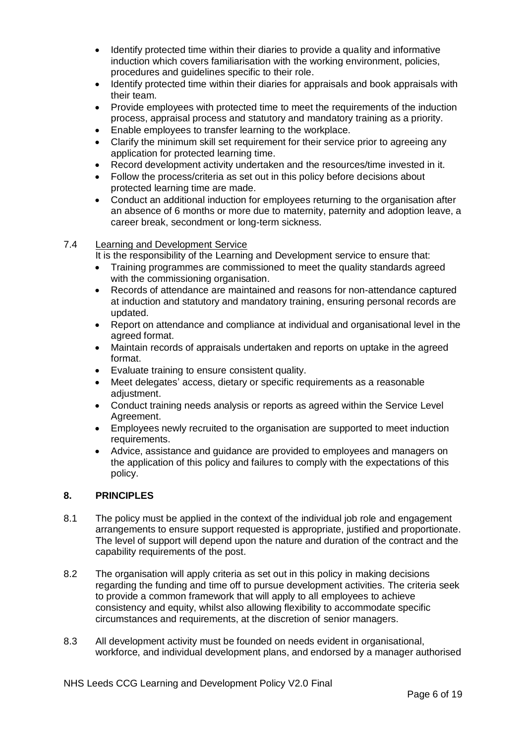- Identify protected time within their diaries to provide a quality and informative induction which covers familiarisation with the working environment, policies, procedures and guidelines specific to their role.
- Identify protected time within their diaries for appraisals and book appraisals with their team.
- Provide employees with protected time to meet the requirements of the induction process, appraisal process and statutory and mandatory training as a priority.
- **Enable employees to transfer learning to the workplace.**
- Clarify the minimum skill set requirement for their service prior to agreeing any application for protected learning time.
- Record development activity undertaken and the resources/time invested in it.
- Follow the process/criteria as set out in this policy before decisions about protected learning time are made.
- Conduct an additional induction for employees returning to the organisation after an absence of 6 months or more due to maternity, paternity and adoption leave, a career break, secondment or long-term sickness.

#### 7.4 Learning and Development Service

It is the responsibility of the Learning and Development service to ensure that:

- Training programmes are commissioned to meet the quality standards agreed with the commissioning organisation.
- Records of attendance are maintained and reasons for non-attendance captured at induction and statutory and mandatory training, ensuring personal records are updated.
- Report on attendance and compliance at individual and organisational level in the agreed format.
- Maintain records of appraisals undertaken and reports on uptake in the agreed format.
- Evaluate training to ensure consistent quality.
- Meet delegates' access, dietary or specific requirements as a reasonable adiustment.
- Conduct training needs analysis or reports as agreed within the Service Level Agreement.
- Employees newly recruited to the organisation are supported to meet induction requirements.
- Advice, assistance and guidance are provided to employees and managers on the application of this policy and failures to comply with the expectations of this policy.

#### **8. PRINCIPLES**

- 8.1 The policy must be applied in the context of the individual job role and engagement arrangements to ensure support requested is appropriate, justified and proportionate. The level of support will depend upon the nature and duration of the contract and the capability requirements of the post.
- 8.2 The organisation will apply criteria as set out in this policy in making decisions regarding the funding and time off to pursue development activities. The criteria seek to provide a common framework that will apply to all employees to achieve consistency and equity, whilst also allowing flexibility to accommodate specific circumstances and requirements, at the discretion of senior managers.
- 8.3 All development activity must be founded on needs evident in organisational, workforce, and individual development plans, and endorsed by a manager authorised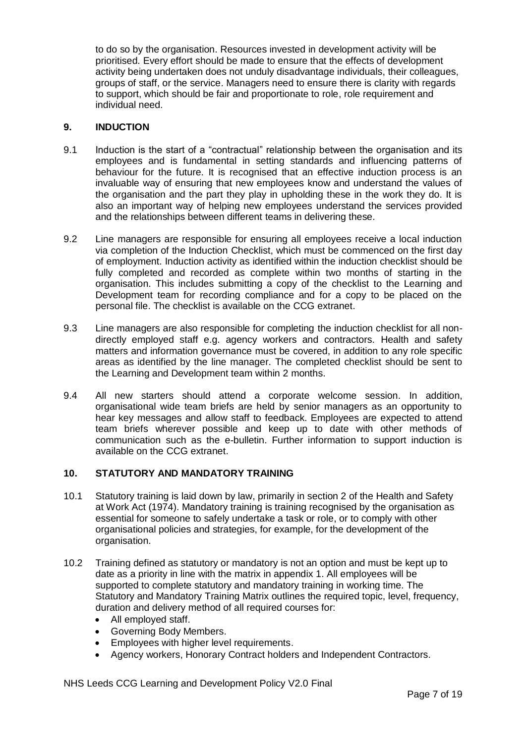to do so by the organisation. Resources invested in development activity will be prioritised. Every effort should be made to ensure that the effects of development activity being undertaken does not unduly disadvantage individuals, their colleagues, groups of staff, or the service. Managers need to ensure there is clarity with regards to support, which should be fair and proportionate to role, role requirement and individual need.

#### **9. INDUCTION**

- 9.1 Induction is the start of a "contractual" relationship between the organisation and its employees and is fundamental in setting standards and influencing patterns of behaviour for the future. It is recognised that an effective induction process is an invaluable way of ensuring that new employees know and understand the values of the organisation and the part they play in upholding these in the work they do. It is also an important way of helping new employees understand the services provided and the relationships between different teams in delivering these.
- 9.2 Line managers are responsible for ensuring all employees receive a local induction via completion of the Induction Checklist, which must be commenced on the first day of employment. Induction activity as identified within the induction checklist should be fully completed and recorded as complete within two months of starting in the organisation. This includes submitting a copy of the checklist to the Learning and Development team for recording compliance and for a copy to be placed on the personal file. The checklist is available on the CCG extranet.
- 9.3 Line managers are also responsible for completing the induction checklist for all nondirectly employed staff e.g. agency workers and contractors. Health and safety matters and information governance must be covered, in addition to any role specific areas as identified by the line manager. The completed checklist should be sent to the Learning and Development team within 2 months.
- 9.4 All new starters should attend a corporate welcome session. In addition, organisational wide team briefs are held by senior managers as an opportunity to hear key messages and allow staff to feedback. Employees are expected to attend team briefs wherever possible and keep up to date with other methods of communication such as the e-bulletin. Further information to support induction is available on the CCG extranet.

#### **10. STATUTORY AND MANDATORY TRAINING**

- 10.1 Statutory training is laid down by law, primarily in section 2 of the Health and Safety at Work Act (1974). Mandatory training is training recognised by the organisation as essential for someone to safely undertake a task or role, or to comply with other organisational policies and strategies, for example, for the development of the organisation.
- 10.2 Training defined as statutory or mandatory is not an option and must be kept up to date as a priority in line with the matrix in appendix 1. All employees will be supported to complete statutory and mandatory training in working time. The Statutory and Mandatory Training Matrix outlines the required topic, level, frequency, duration and delivery method of all required courses for:
	- All employed staff.
	- Governing Body Members.
	- Employees with higher level requirements.
	- Agency workers, Honorary Contract holders and Independent Contractors.

NHS Leeds CCG Learning and Development Policy V2.0 Final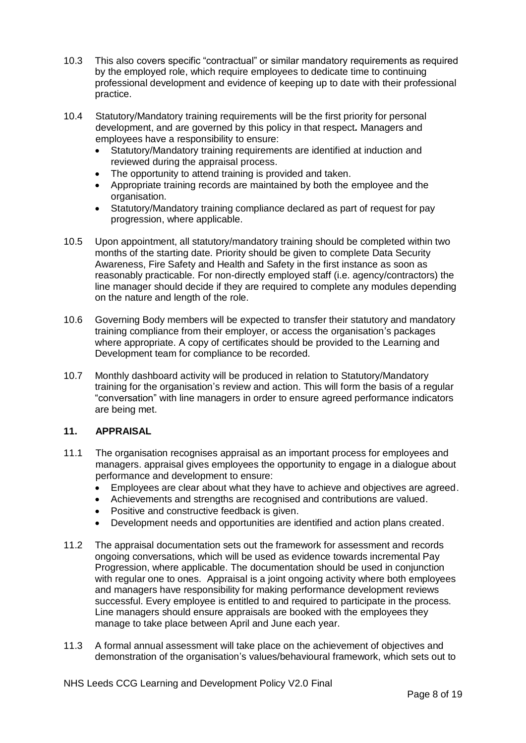- 10.3 This also covers specific "contractual" or similar mandatory requirements as required by the employed role, which require employees to dedicate time to continuing professional development and evidence of keeping up to date with their professional practice.
- 10.4 Statutory/Mandatory training requirements will be the first priority for personal development, and are governed by this policy in that respect*.* Managers and employees have a responsibility to ensure:
	- Statutory/Mandatory training requirements are identified at induction and reviewed during the appraisal process.
	- The opportunity to attend training is provided and taken.
	- Appropriate training records are maintained by both the employee and the organisation.
	- Statutory/Mandatory training compliance declared as part of request for pay progression, where applicable.
- 10.5 Upon appointment, all statutory/mandatory training should be completed within two months of the starting date. Priority should be given to complete Data Security Awareness, Fire Safety and Health and Safety in the first instance as soon as reasonably practicable. For non-directly employed staff (i.e. agency/contractors) the line manager should decide if they are required to complete any modules depending on the nature and length of the role.
- 10.6 Governing Body members will be expected to transfer their statutory and mandatory training compliance from their employer, or access the organisation's packages where appropriate. A copy of certificates should be provided to the Learning and Development team for compliance to be recorded.
- 10.7 Monthly dashboard activity will be produced in relation to Statutory/Mandatory training for the organisation's review and action. This will form the basis of a regular "conversation" with line managers in order to ensure agreed performance indicators are being met.

## **11. APPRAISAL**

- 11.1 The organisation recognises appraisal as an important process for employees and managers. appraisal gives employees the opportunity to engage in a dialogue about performance and development to ensure:
	- Employees are clear about what they have to achieve and objectives are agreed.
	- Achievements and strengths are recognised and contributions are valued.
	- Positive and constructive feedback is given.
	- Development needs and opportunities are identified and action plans created.
- 11.2 The appraisal documentation sets out the framework for assessment and records ongoing conversations, which will be used as evidence towards incremental Pay Progression, where applicable. The documentation should be used in conjunction with regular one to ones. Appraisal is a joint ongoing activity where both employees and managers have responsibility for making performance development reviews successful. Every employee is entitled to and required to participate in the process. Line managers should ensure appraisals are booked with the employees they manage to take place between April and June each year.
- 11.3 A formal annual assessment will take place on the achievement of objectives and demonstration of the organisation's values/behavioural framework, which sets out to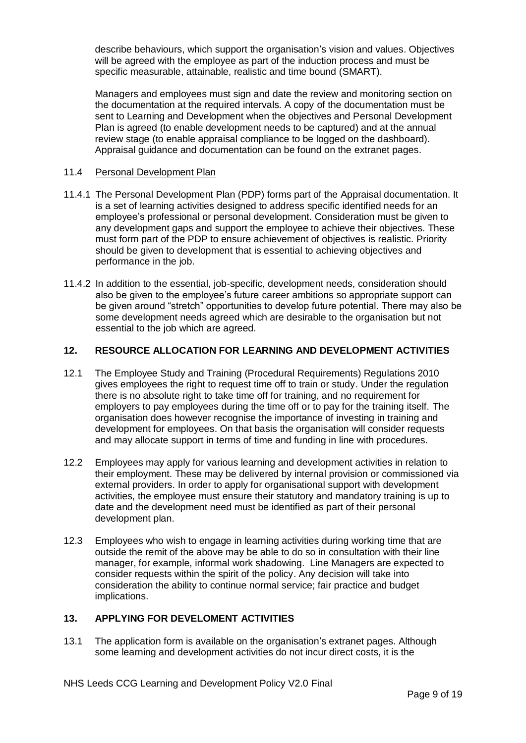describe behaviours, which support the organisation's vision and values. Objectives will be agreed with the employee as part of the induction process and must be specific measurable, attainable, realistic and time bound (SMART).

Managers and employees must sign and date the review and monitoring section on the documentation at the required intervals. A copy of the documentation must be sent to Learning and Development when the objectives and Personal Development Plan is agreed (to enable development needs to be captured) and at the annual review stage (to enable appraisal compliance to be logged on the dashboard). Appraisal guidance and documentation can be found on the extranet pages.

#### 11.4 Personal Development Plan

- 11.4.1 The Personal Development Plan (PDP) forms part of the Appraisal documentation. It is a set of learning activities designed to address specific identified needs for an employee's professional or personal development. Consideration must be given to any development gaps and support the employee to achieve their objectives. These must form part of the PDP to ensure achievement of objectives is realistic. Priority should be given to development that is essential to achieving objectives and performance in the job.
- 11.4.2 In addition to the essential, job-specific, development needs, consideration should also be given to the employee's future career ambitions so appropriate support can be given around "stretch" opportunities to develop future potential. There may also be some development needs agreed which are desirable to the organisation but not essential to the job which are agreed.

#### **12. RESOURCE ALLOCATION FOR LEARNING AND DEVELOPMENT ACTIVITIES**

- 12.1 The Employee Study and Training (Procedural Requirements) Regulations 2010 gives employees the right to request time off to train or study. Under the regulation there is no absolute right to take time off for training, and no requirement for employers to pay employees during the time off or to pay for the training itself. The organisation does however recognise the importance of investing in training and development for employees. On that basis the organisation will consider requests and may allocate support in terms of time and funding in line with procedures.
- 12.2 Employees may apply for various learning and development activities in relation to their employment. These may be delivered by internal provision or commissioned via external providers. In order to apply for organisational support with development activities, the employee must ensure their statutory and mandatory training is up to date and the development need must be identified as part of their personal development plan.
- 12.3 Employees who wish to engage in learning activities during working time that are outside the remit of the above may be able to do so in consultation with their line manager, for example, informal work shadowing. Line Managers are expected to consider requests within the spirit of the policy. Any decision will take into consideration the ability to continue normal service; fair practice and budget implications.

#### **13. APPLYING FOR DEVELOMENT ACTIVITIES**

13.1 The application form is available on the organisation's extranet pages. Although some learning and development activities do not incur direct costs, it is the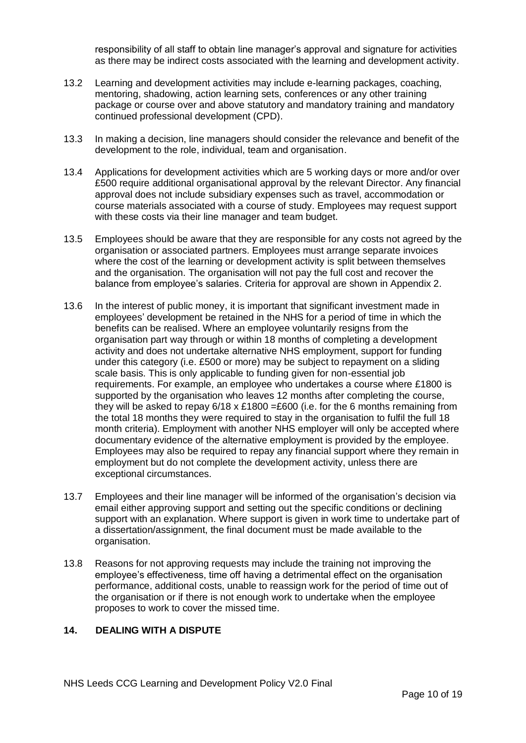responsibility of all staff to obtain line manager's approval and signature for activities as there may be indirect costs associated with the learning and development activity.

- 13.2 Learning and development activities may include e-learning packages, coaching, mentoring, shadowing, action learning sets, conferences or any other training package or course over and above statutory and mandatory training and mandatory continued professional development (CPD).
- 13.3 In making a decision, line managers should consider the relevance and benefit of the development to the role, individual, team and organisation.
- 13.4 Applications for development activities which are 5 working days or more and/or over £500 require additional organisational approval by the relevant Director. Any financial approval does not include subsidiary expenses such as travel, accommodation or course materials associated with a course of study. Employees may request support with these costs via their line manager and team budget.
- 13.5 Employees should be aware that they are responsible for any costs not agreed by the organisation or associated partners. Employees must arrange separate invoices where the cost of the learning or development activity is split between themselves and the organisation. The organisation will not pay the full cost and recover the balance from employee's salaries. Criteria for approval are shown in Appendix 2.
- 13.6 In the interest of public money, it is important that significant investment made in employees' development be retained in the NHS for a period of time in which the benefits can be realised. Where an employee voluntarily resigns from the organisation part way through or within 18 months of completing a development activity and does not undertake alternative NHS employment, support for funding under this category (i.e. £500 or more) may be subject to repayment on a sliding scale basis. This is only applicable to funding given for non-essential job requirements. For example, an employee who undertakes a course where £1800 is supported by the organisation who leaves 12 months after completing the course, they will be asked to repay  $6/18 \times £1800 = £600$  (i.e. for the 6 months remaining from the total 18 months they were required to stay in the organisation to fulfil the full 18 month criteria). Employment with another NHS employer will only be accepted where documentary evidence of the alternative employment is provided by the employee. Employees may also be required to repay any financial support where they remain in employment but do not complete the development activity, unless there are exceptional circumstances.
- 13.7 Employees and their line manager will be informed of the organisation's decision via email either approving support and setting out the specific conditions or declining support with an explanation. Where support is given in work time to undertake part of a dissertation/assignment, the final document must be made available to the organisation.
- 13.8 Reasons for not approving requests may include the training not improving the employee's effectiveness, time off having a detrimental effect on the organisation performance, additional costs, unable to reassign work for the period of time out of the organisation or if there is not enough work to undertake when the employee proposes to work to cover the missed time.

#### **14. DEALING WITH A DISPUTE**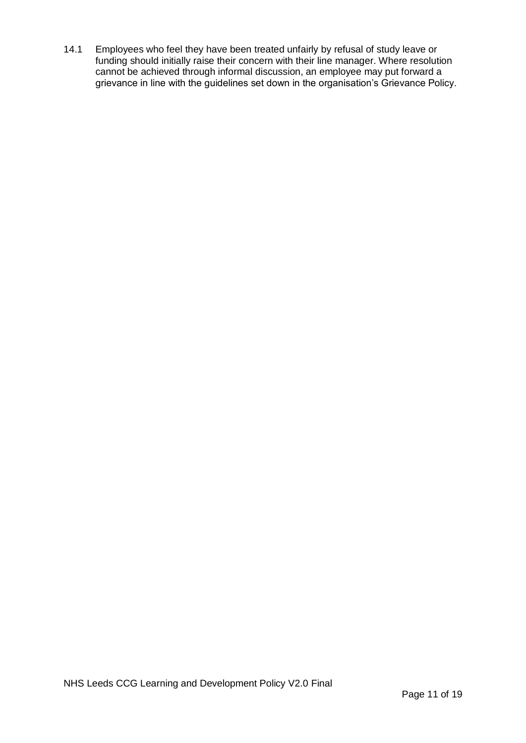14.1 Employees who feel they have been treated unfairly by refusal of study leave or funding should initially raise their concern with their line manager. Where resolution cannot be achieved through informal discussion, an employee may put forward a grievance in line with the guidelines set down in the organisation's Grievance Policy.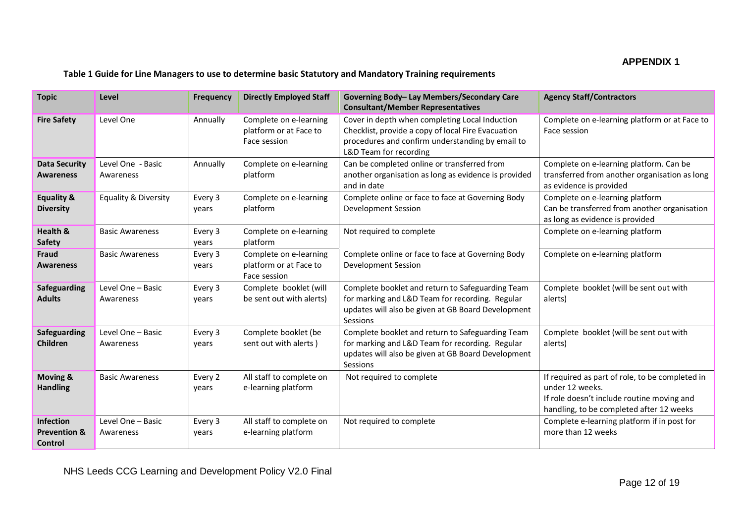## **APPENDIX 1**

#### **Table 1 Guide for Line Managers to use to determine basic Statutory and Mandatory Training requirements**

| <b>Topic</b>                                           | Level                           | Frequency        | <b>Directly Employed Staff</b>                                   | Governing Body- Lay Members/Secondary Care<br><b>Consultant/Member Representatives</b>                                                                                             | <b>Agency Staff/Contractors</b>                                                                                                                              |
|--------------------------------------------------------|---------------------------------|------------------|------------------------------------------------------------------|------------------------------------------------------------------------------------------------------------------------------------------------------------------------------------|--------------------------------------------------------------------------------------------------------------------------------------------------------------|
| <b>Fire Safety</b>                                     | Level One                       | Annually         | Complete on e-learning<br>platform or at Face to<br>Face session | Cover in depth when completing Local Induction<br>Checklist, provide a copy of local Fire Evacuation<br>procedures and confirm understanding by email to<br>L&D Team for recording | Complete on e-learning platform or at Face to<br>Face session                                                                                                |
| <b>Data Security</b><br><b>Awareness</b>               | Level One - Basic<br>Awareness  | Annually         | Complete on e-learning<br>platform                               | Can be completed online or transferred from<br>another organisation as long as evidence is provided<br>and in date                                                                 | Complete on e-learning platform. Can be<br>transferred from another organisation as long<br>as evidence is provided                                          |
| <b>Equality &amp;</b><br><b>Diversity</b>              | <b>Equality &amp; Diversity</b> | Every 3<br>years | Complete on e-learning<br>platform                               | Complete online or face to face at Governing Body<br>Development Session                                                                                                           | Complete on e-learning platform<br>Can be transferred from another organisation<br>as long as evidence is provided                                           |
| Health &<br>Safety                                     | <b>Basic Awareness</b>          | Every 3<br>years | Complete on e-learning<br>platform                               | Not required to complete                                                                                                                                                           | Complete on e-learning platform                                                                                                                              |
| <b>Fraud</b><br><b>Awareness</b>                       | <b>Basic Awareness</b>          | Every 3<br>years | Complete on e-learning<br>platform or at Face to<br>Face session | Complete online or face to face at Governing Body<br><b>Development Session</b>                                                                                                    | Complete on e-learning platform                                                                                                                              |
| Safeguarding<br><b>Adults</b>                          | Level One - Basic<br>Awareness  | Every 3<br>years | Complete booklet (will<br>be sent out with alerts)               | Complete booklet and return to Safeguarding Team<br>for marking and L&D Team for recording. Regular<br>updates will also be given at GB Board Development<br>Sessions              | Complete booklet (will be sent out with<br>alerts)                                                                                                           |
| Safeguarding<br>Children                               | Level One - Basic<br>Awareness  | Every 3<br>years | Complete booklet (be<br>sent out with alerts)                    | Complete booklet and return to Safeguarding Team<br>for marking and L&D Team for recording. Regular<br>updates will also be given at GB Board Development<br>Sessions              | Complete booklet (will be sent out with<br>alerts)                                                                                                           |
| <b>Moving &amp;</b><br><b>Handling</b>                 | <b>Basic Awareness</b>          | Every 2<br>years | All staff to complete on<br>e-learning platform                  | Not required to complete                                                                                                                                                           | If required as part of role, to be completed in<br>under 12 weeks.<br>If role doesn't include routine moving and<br>handling, to be completed after 12 weeks |
| <b>Infection</b><br><b>Prevention &amp;</b><br>Control | Level One - Basic<br>Awareness  | Every 3<br>years | All staff to complete on<br>e-learning platform                  | Not required to complete                                                                                                                                                           | Complete e-learning platform if in post for<br>more than 12 weeks                                                                                            |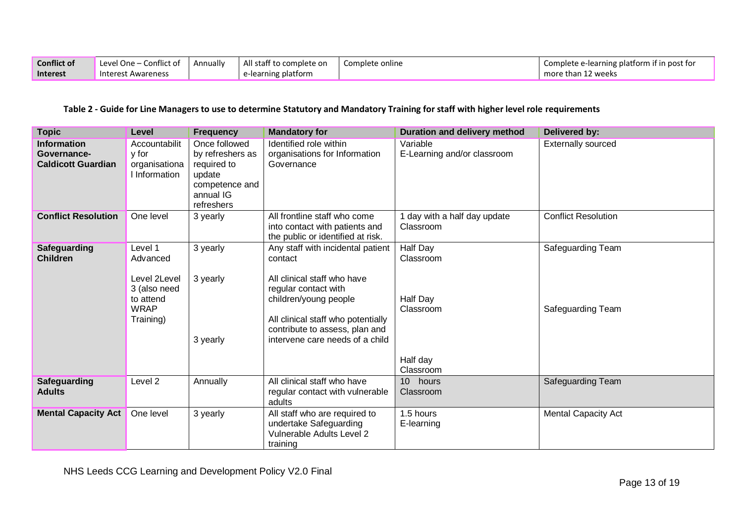| <b>Conflict of</b> | Level One -<br>Conflict of | Annually | All staff to complete on | Complete online | Complete e-learning platform if in post for |
|--------------------|----------------------------|----------|--------------------------|-----------------|---------------------------------------------|
| <b>Interest</b>    | Interest Awareness         |          | e-learning platform      |                 | more than 12 weeks                          |

## **Table 2 - Guide for Line Managers to use to determine Statutory and Mandatory Training for staff with higher level role requirements**

| <b>Topic</b>                                                   | Level                                                                                        | <b>Frequency</b>                                                                                        | <b>Mandatory for</b>                                                                                                                                                                                                                    | Duration and delivery method                                            | Delivered by:                          |
|----------------------------------------------------------------|----------------------------------------------------------------------------------------------|---------------------------------------------------------------------------------------------------------|-----------------------------------------------------------------------------------------------------------------------------------------------------------------------------------------------------------------------------------------|-------------------------------------------------------------------------|----------------------------------------|
| <b>Information</b><br>Governance-<br><b>Caldicott Guardian</b> | Accountabilit<br>y for<br>organisationa<br>I Information                                     | Once followed<br>by refreshers as<br>required to<br>update<br>competence and<br>annual IG<br>refreshers | Identified role within<br>organisations for Information<br>Governance                                                                                                                                                                   | Variable<br>E-Learning and/or classroom                                 | <b>Externally sourced</b>              |
| <b>Conflict Resolution</b>                                     | One level                                                                                    | 3 yearly                                                                                                | All frontline staff who come<br>into contact with patients and<br>the public or identified at risk.                                                                                                                                     | I day with a half day update<br>Classroom                               | <b>Conflict Resolution</b>             |
| <b>Safeguarding</b><br><b>Children</b>                         | Level 1<br>Advanced<br>Level 2Level<br>3 (also need<br>to attend<br><b>WRAP</b><br>Training) | 3 yearly<br>3 yearly<br>3 yearly                                                                        | Any staff with incidental patient<br>contact<br>All clinical staff who have<br>regular contact with<br>children/young people<br>All clinical staff who potentially<br>contribute to assess, plan and<br>intervene care needs of a child | Half Day<br>Classroom<br>Half Day<br>Classroom<br>Half day<br>Classroom | Safeguarding Team<br>Safeguarding Team |
| <b>Safeguarding</b><br><b>Adults</b>                           | Level 2                                                                                      | Annually                                                                                                | All clinical staff who have<br>regular contact with vulnerable<br>adults                                                                                                                                                                | 10 hours<br>Classroom                                                   | Safeguarding Team                      |
| <b>Mental Capacity Act</b>                                     | One level                                                                                    | 3 yearly                                                                                                | All staff who are required to<br>undertake Safeguarding<br>Vulnerable Adults Level 2<br>training                                                                                                                                        | 1.5 hours<br>E-learning                                                 | <b>Mental Capacity Act</b>             |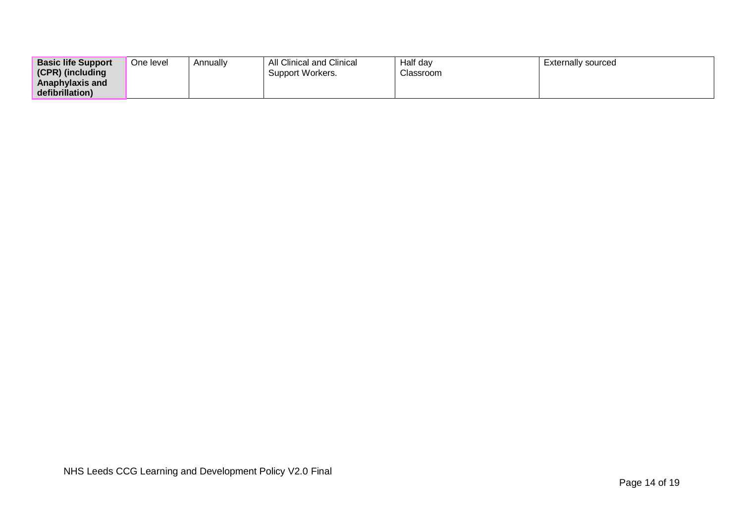| <b>Basic life Support</b> | One level | Annually | All Clinical and Clinical | Half day  | Externally sourced |
|---------------------------|-----------|----------|---------------------------|-----------|--------------------|
| (CPR) (including          |           |          | Support Workers.          | Classroom |                    |
| Anaphylaxis and           |           |          |                           |           |                    |
| defibrillation)           |           |          |                           |           |                    |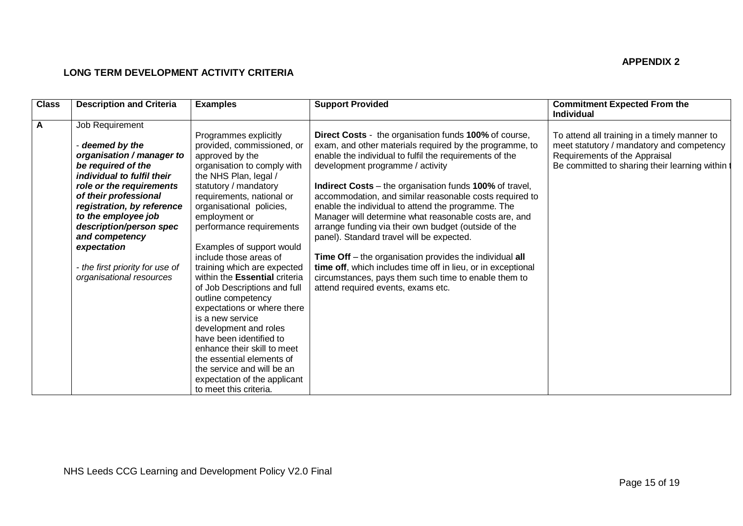## **APPENDIX 2**

# **LONG TERM DEVELOPMENT ACTIVITY CRITERIA**

| <b>Class</b> | <b>Description and Criteria</b> | <b>Examples</b>                      | <b>Support Provided</b>                                        | <b>Commitment Expected From the</b><br>Individual |
|--------------|---------------------------------|--------------------------------------|----------------------------------------------------------------|---------------------------------------------------|
| $\mathsf{A}$ | Job Requirement                 |                                      |                                                                |                                                   |
|              |                                 | Programmes explicitly                | <b>Direct Costs</b> - the organisation funds 100% of course,   | To attend all training in a timely manner to      |
|              | - deemed by the                 | provided, commissioned, or           | exam, and other materials required by the programme, to        | meet statutory / mandatory and competency         |
|              | organisation / manager to       | approved by the                      | enable the individual to fulfil the requirements of the        | Requirements of the Appraisal                     |
|              | be required of the              | organisation to comply with          | development programme / activity                               | Be committed to sharing their learning within t   |
|              | individual to fulfil their      | the NHS Plan, legal /                |                                                                |                                                   |
|              | role or the requirements        | statutory / mandatory                | <b>Indirect Costs</b> – the organisation funds 100% of travel, |                                                   |
|              | of their professional           | requirements, national or            | accommodation, and similar reasonable costs required to        |                                                   |
|              | registration, by reference      | organisational policies,             | enable the individual to attend the programme. The             |                                                   |
|              | to the employee job             | employment or                        | Manager will determine what reasonable costs are, and          |                                                   |
|              | description/person spec         | performance requirements             | arrange funding via their own budget (outside of the           |                                                   |
|              | and competency                  |                                      | panel). Standard travel will be expected.                      |                                                   |
|              | expectation                     | Examples of support would            |                                                                |                                                   |
|              |                                 | include those areas of               | Time Off – the organisation provides the individual all        |                                                   |
|              | - the first priority for use of | training which are expected          | time off, which includes time off in lieu, or in exceptional   |                                                   |
|              | organisational resources        | within the <b>Essential</b> criteria | circumstances, pays them such time to enable them to           |                                                   |
|              |                                 | of Job Descriptions and full         | attend required events, exams etc.                             |                                                   |
|              |                                 | outline competency                   |                                                                |                                                   |
|              |                                 | expectations or where there          |                                                                |                                                   |
|              |                                 | is a new service                     |                                                                |                                                   |
|              |                                 | development and roles                |                                                                |                                                   |
|              |                                 | have been identified to              |                                                                |                                                   |
|              |                                 | enhance their skill to meet          |                                                                |                                                   |
|              |                                 | the essential elements of            |                                                                |                                                   |
|              |                                 | the service and will be an           |                                                                |                                                   |
|              |                                 | expectation of the applicant         |                                                                |                                                   |
|              |                                 | to meet this criteria.               |                                                                |                                                   |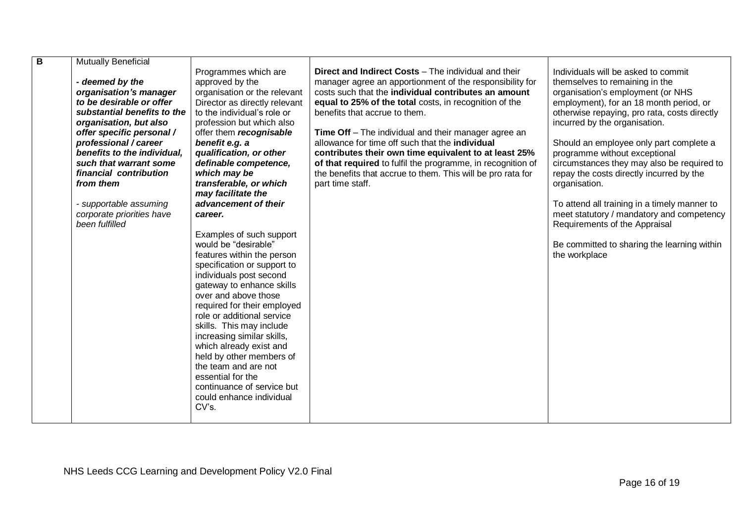| B | Mutually Beneficial                                                                                                                                                                                                                                                                                                                                           |                                                                                                                                                                                                                                                                                                                                                                                                                                                                                                                                                                                                                                                                                                                                                                                                                                                                         |                                                                                                                                                                                                                                                                                                                                                                                                                                                                                                                                                                                                         |                                                                                                                                                                                                                                                                                                                                                                                                                                                                                                                                                                                                                             |  |
|---|---------------------------------------------------------------------------------------------------------------------------------------------------------------------------------------------------------------------------------------------------------------------------------------------------------------------------------------------------------------|-------------------------------------------------------------------------------------------------------------------------------------------------------------------------------------------------------------------------------------------------------------------------------------------------------------------------------------------------------------------------------------------------------------------------------------------------------------------------------------------------------------------------------------------------------------------------------------------------------------------------------------------------------------------------------------------------------------------------------------------------------------------------------------------------------------------------------------------------------------------------|---------------------------------------------------------------------------------------------------------------------------------------------------------------------------------------------------------------------------------------------------------------------------------------------------------------------------------------------------------------------------------------------------------------------------------------------------------------------------------------------------------------------------------------------------------------------------------------------------------|-----------------------------------------------------------------------------------------------------------------------------------------------------------------------------------------------------------------------------------------------------------------------------------------------------------------------------------------------------------------------------------------------------------------------------------------------------------------------------------------------------------------------------------------------------------------------------------------------------------------------------|--|
|   | - deemed by the<br>organisation's manager<br>to be desirable or offer<br>substantial benefits to the<br>organisation, but also<br>offer specific personal /<br>professional / career<br>benefits to the individual,<br>such that warrant some<br>financial contribution<br>from them<br>- supportable assuming<br>corporate priorities have<br>been fulfilled | Programmes which are<br>approved by the<br>organisation or the relevant<br>Director as directly relevant<br>to the individual's role or<br>profession but which also<br>offer them recognisable<br>benefit e.g. a<br>qualification, or other<br>definable competence,<br>which may be<br>transferable, or which<br>may facilitate the<br>advancement of their<br>career.<br>Examples of such support<br>would be "desirable"<br>features within the person<br>specification or support to<br>individuals post second<br>gateway to enhance skills<br>over and above those<br>required for their employed<br>role or additional service<br>skills. This may include<br>increasing similar skills,<br>which already exist and<br>held by other members of<br>the team and are not<br>essential for the<br>continuance of service but<br>could enhance individual<br>CV's. | <b>Direct and Indirect Costs - The individual and their</b><br>manager agree an apportionment of the responsibility for<br>costs such that the individual contributes an amount<br>equal to 25% of the total costs, in recognition of the<br>benefits that accrue to them.<br><b>Time Off</b> – The individual and their manager agree an<br>allowance for time off such that the individual<br>contributes their own time equivalent to at least 25%<br>of that required to fulfil the programme, in recognition of<br>the benefits that accrue to them. This will be pro rata for<br>part time staff. | Individuals will be asked to commit<br>themselves to remaining in the<br>organisation's employment (or NHS<br>employment), for an 18 month period, or<br>otherwise repaying, pro rata, costs directly<br>incurred by the organisation.<br>Should an employee only part complete a<br>programme without exceptional<br>circumstances they may also be required to<br>repay the costs directly incurred by the<br>organisation.<br>To attend all training in a timely manner to<br>meet statutory / mandatory and competency<br>Requirements of the Appraisal<br>Be committed to sharing the learning within<br>the workplace |  |
|   |                                                                                                                                                                                                                                                                                                                                                               |                                                                                                                                                                                                                                                                                                                                                                                                                                                                                                                                                                                                                                                                                                                                                                                                                                                                         |                                                                                                                                                                                                                                                                                                                                                                                                                                                                                                                                                                                                         |                                                                                                                                                                                                                                                                                                                                                                                                                                                                                                                                                                                                                             |  |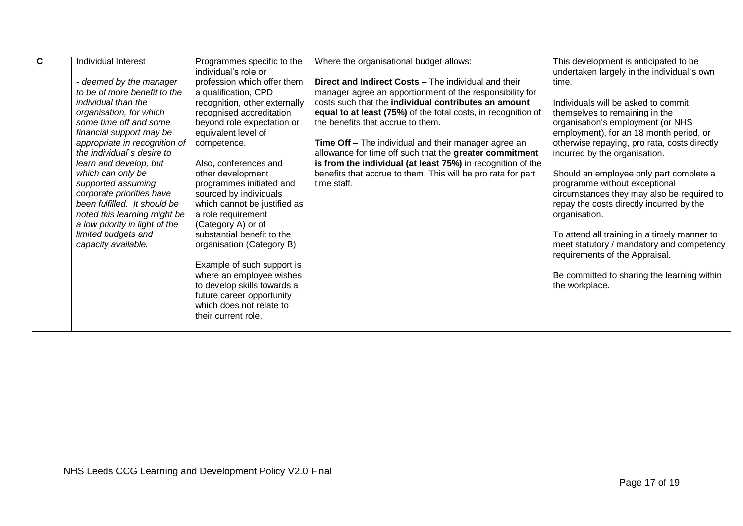| $\overline{\mathbf{c}}$ | <b>Individual Interest</b>                                  | Programmes specific to the<br>individual's role or | Where the organisational budget allows:                       | This development is anticipated to be<br>undertaken largely in the individual's own |
|-------------------------|-------------------------------------------------------------|----------------------------------------------------|---------------------------------------------------------------|-------------------------------------------------------------------------------------|
|                         | - deemed by the manager                                     | profession which offer them                        | <b>Direct and Indirect Costs - The individual and their</b>   | time.                                                                               |
|                         | to be of more benefit to the                                | a qualification, CPD                               | manager agree an apportionment of the responsibility for      |                                                                                     |
|                         | individual than the                                         | recognition, other externally                      | costs such that the individual contributes an amount          | Individuals will be asked to commit                                                 |
|                         | organisation, for which                                     | recognised accreditation                           | equal to at least (75%) of the total costs, in recognition of | themselves to remaining in the                                                      |
|                         | some time off and some                                      | beyond role expectation or                         | the benefits that accrue to them.                             | organisation's employment (or NHS                                                   |
|                         | financial support may be                                    | equivalent level of                                | <b>Time Off</b> – The individual and their manager agree an   | employment), for an 18 month period, or                                             |
|                         | appropriate in recognition of<br>the individual's desire to | competence.                                        | allowance for time off such that the greater commitment       | otherwise repaying, pro rata, costs directly<br>incurred by the organisation.       |
|                         | learn and develop, but                                      | Also, conferences and                              | is from the individual (at least 75%) in recognition of the   |                                                                                     |
|                         | which can only be                                           | other development                                  | benefits that accrue to them. This will be pro rata for part  | Should an employee only part complete a                                             |
|                         | supported assuming                                          | programmes initiated and                           | time staff.                                                   | programme without exceptional                                                       |
|                         | corporate priorities have                                   | sourced by individuals                             |                                                               | circumstances they may also be required to                                          |
|                         | been fulfilled. It should be                                | which cannot be justified as                       |                                                               | repay the costs directly incurred by the                                            |
|                         | noted this learning might be                                | a role requirement                                 |                                                               | organisation.                                                                       |
|                         | a low priority in light of the<br>limited budgets and       | (Category A) or of<br>substantial benefit to the   |                                                               | To attend all training in a timely manner to                                        |
|                         | capacity available.                                         | organisation (Category B)                          |                                                               | meet statutory / mandatory and competency                                           |
|                         |                                                             |                                                    |                                                               | requirements of the Appraisal.                                                      |
|                         |                                                             | Example of such support is                         |                                                               |                                                                                     |
|                         |                                                             | where an employee wishes                           |                                                               | Be committed to sharing the learning within                                         |
|                         |                                                             | to develop skills towards a                        |                                                               | the workplace.                                                                      |
|                         |                                                             | future career opportunity                          |                                                               |                                                                                     |
|                         |                                                             | which does not relate to<br>their current role.    |                                                               |                                                                                     |
|                         |                                                             |                                                    |                                                               |                                                                                     |
|                         |                                                             |                                                    |                                                               |                                                                                     |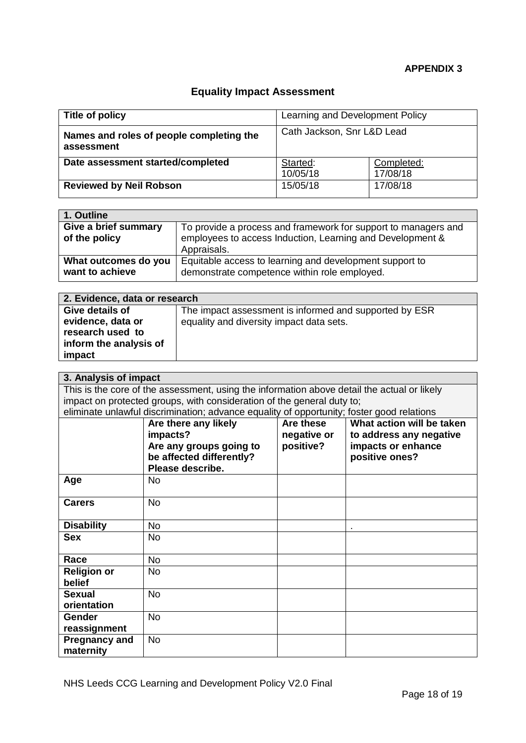# **Equality Impact Assessment**

| Title of policy                                        | Learning and Development Policy |                        |
|--------------------------------------------------------|---------------------------------|------------------------|
| Names and roles of people completing the<br>assessment | Cath Jackson, Snr L&D Lead      |                        |
| Date assessment started/completed                      | Started:<br>10/05/18            | Completed:<br>17/08/18 |
| <b>Reviewed by Neil Robson</b>                         | 15/05/18                        | 17/08/18               |

| 1. Outline                              |                                                                                                                                            |
|-----------------------------------------|--------------------------------------------------------------------------------------------------------------------------------------------|
| Give a brief summary<br>of the policy   | To provide a process and framework for support to managers and<br>employees to access Induction, Learning and Development &<br>Appraisals. |
| What outcomes do you<br>want to achieve | Equitable access to learning and development support to<br>demonstrate competence within role employed.                                    |

| 2. Evidence, data or research |                                                        |  |  |
|-------------------------------|--------------------------------------------------------|--|--|
| Give details of               | The impact assessment is informed and supported by ESR |  |  |
| evidence, data or             | equality and diversity impact data sets.               |  |  |
| research used to              |                                                        |  |  |
| inform the analysis of        |                                                        |  |  |
| impact                        |                                                        |  |  |

| 3. Analysis of impact                                                                       |                          |             |                           |  |
|---------------------------------------------------------------------------------------------|--------------------------|-------------|---------------------------|--|
| This is the core of the assessment, using the information above detail the actual or likely |                          |             |                           |  |
| impact on protected groups, with consideration of the general duty to;                      |                          |             |                           |  |
| eliminate unlawful discrimination; advance equality of opportunity; foster good relations   |                          |             |                           |  |
|                                                                                             | Are there any likely     | Are these   | What action will be taken |  |
|                                                                                             | impacts?                 | negative or | to address any negative   |  |
|                                                                                             | Are any groups going to  | positive?   | impacts or enhance        |  |
|                                                                                             | be affected differently? |             | positive ones?            |  |
|                                                                                             | Please describe.         |             |                           |  |
| Age                                                                                         | <b>No</b>                |             |                           |  |
|                                                                                             |                          |             |                           |  |
| <b>Carers</b>                                                                               | <b>No</b>                |             |                           |  |
|                                                                                             |                          |             |                           |  |
| <b>Disability</b>                                                                           | <b>No</b>                |             |                           |  |
| <b>Sex</b>                                                                                  | No.                      |             |                           |  |
|                                                                                             |                          |             |                           |  |
| Race                                                                                        | <b>No</b>                |             |                           |  |
| <b>Religion or</b>                                                                          | No                       |             |                           |  |
| belief                                                                                      |                          |             |                           |  |
| <b>Sexual</b>                                                                               | <b>No</b>                |             |                           |  |
| orientation                                                                                 |                          |             |                           |  |
| Gender                                                                                      | <b>No</b>                |             |                           |  |
| reassignment                                                                                |                          |             |                           |  |
| <b>Pregnancy and</b>                                                                        | <b>No</b>                |             |                           |  |
| maternity                                                                                   |                          |             |                           |  |